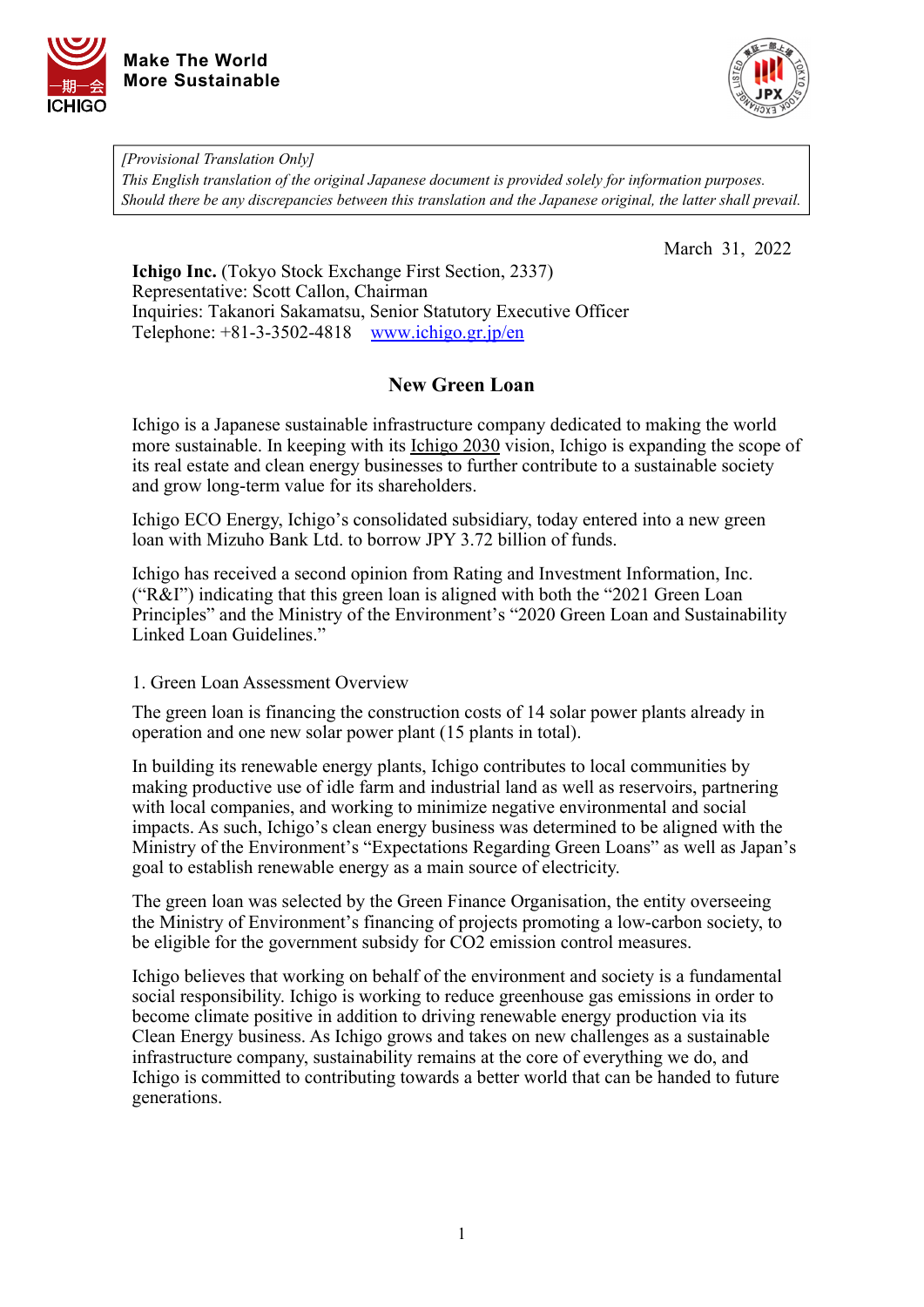



*[Provisional Translation Only] This English translation of the original Japanese document is provided solely for information purposes. Should there be any discrepancies between this translation and the Japanese original, the latter shall prevail.*

March 31, 2022

**Ichigo Inc.** (Tokyo Stock Exchange First Section, 2337) Representative: Scott Callon, Chairman Inquiries: Takanori Sakamatsu, Senior Statutory Executive Officer Telephone: +81-3-3502-4818 [www.ichigo.gr.jp/en](https://www.ichigo.gr.jp/en)

# **New Green Loan**

Ichigo is a Japanese sustainable infrastructure company dedicated to making the world more sustainable. In keeping with its *Ichigo 2030* vision, Ichigo is expanding the scope of its real estate and clean energy businesses to further contribute to a sustainable society and grow long-term value for its shareholders.

Ichigo ECO Energy, Ichigo's consolidated subsidiary, today entered into a new green loan with Mizuho Bank Ltd. to borrow JPY 3.72 billion of funds.

Ichigo has received a second opinion from Rating and Investment Information, Inc. ("R&I") indicating that this green loan is aligned with both the "2021 Green Loan Principles" and the Ministry of the Environment's "2020 Green Loan and Sustainability Linked Loan Guidelines."

### 1. Green Loan Assessment Overview

The green loan is financing the construction costs of 14 solar power plants already in operation and one new solar power plant (15 plants in total).

In building its renewable energy plants, Ichigo contributes to local communities by making productive use of idle farm and industrial land as well as reservoirs, partnering with local companies, and working to minimize negative environmental and social impacts. As such, Ichigo's clean energy business was determined to be aligned with the Ministry of the Environment's "Expectations Regarding Green Loans" as well as Japan's goal to establish renewable energy as a main source of electricity.

The green loan was selected by the Green Finance Organisation, the entity overseeing the Ministry of Environment's financing of projects promoting a low-carbon society, to be eligible for the government subsidy for CO2 emission control measures.

Ichigo believes that working on behalf of the environment and society is a fundamental social responsibility. Ichigo is working to reduce greenhouse gas emissions in order to become climate positive in addition to driving renewable energy production via its Clean Energy business. As Ichigo grows and takes on new challenges as a sustainable infrastructure company, sustainability remains at the core of everything we do, and Ichigo is committed to contributing towards a better world that can be handed to future generations.